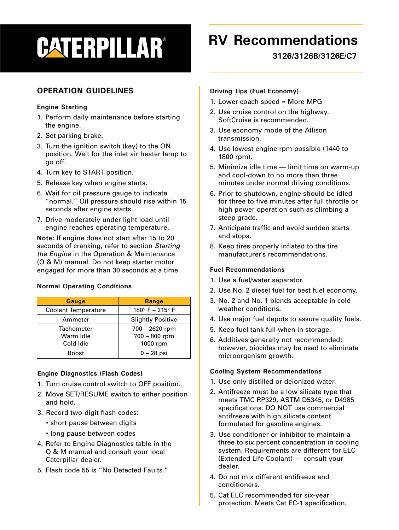# **CATERPILLAR®**

## **RV Recommendations**

**3126/3126B/3126E/C7**

### **OPERATION GUIDELINES**

#### **Engine Starting**

- 1. Perform daily maintenance before starting the engine.
- 2. Set parking brake.
- 3. Turn the ignition switch (key) to the ON position. Wait for the inlet air heater lamp to go off.
- 4. Turn key to START position.
- 5. Release key when engine starts.
- 6. Wait for oil pressure gauge to indicate "normal." Oil pressure should rise within 15 seconds after engine starts.
- 7. Drive moderately under light load until engine reaches operating temperature.

**Note:** If engine does not start after 15 to 20 seconds of cranking, refer to section Starting the Engine in the Operation & Maintenance (O & M) manual. Do not keep starter motor engaged for more than 30 seconds at a time.

#### **Normal Operating Conditions**

| <b>Gauge</b>               | Range                              |
|----------------------------|------------------------------------|
| <b>Coolant Temperature</b> | $180^{\circ}$ F – 215 $^{\circ}$ F |
| Ammeter                    | <b>Slightly Positive</b>           |
| Tachometer                 | 700 - 2620 rpm                     |
| Warm Idle                  | 700 - 800 rpm                      |
| Cold Idle                  | 1000 rpm                           |
| <b>Boost</b>               | $0 - 28$ psi                       |

#### **Engine Diagnostics (Flash Codes)**

- 1. Turn cruise control switch to OFF position.
- 2. Move SET/RESUME switch to either position and hold.
- 3. Record two-digit flash codes:
	- short pause between digits
	- long pause between codes
- 4. Refer to Engine Diagnostics table in the O & M manual and consult your local Caterpillar dealer.
- 5. Flash code 55 is "No Detected Faults."

#### **Driving Tips (Fuel Economy)**

- 1. Lower coach speed = More MPG
- 2. Use cruise control on the highway. SoftCruise is recommended.
- 3. Use economy mode of the Allison transmission.
- 4. Use lowest engine rpm possible (1440 to 1800 rpm).
- 5. Minimize idle time limit time on warm-up and cool-down to no more than three minutes under normal driving conditions.
- 6. Prior to shutdown, engine should be idled for three to five minutes after full throttle or high power operation such as climbing a steep grade.
- 7. Anticipate traffic and avoid sudden starts and stops.
- 8. Keep tires properly inflated to the tire manufacturer's recommendations.

#### **Fuel Recommendations**

- 1. Use a fuel/water separator.
- 2. Use No. 2 diesel fuel for best fuel economy.
- 3. No. 2 and No. 1 blends acceptable in cold weather conditions.
- 4. Use major fuel depots to assure quality fuels.
- 5. Keep fuel tank full when in storage.
- 6. Additives generally not recommended; however, biocides may be used to eliminate microorganism growth.

#### **Cooling System Recommendations**

- 1. Use only distilled or deionized water.
- 2. Antifreeze must be a low silicate type that meets TMC RP329, ASTM D5345, or D4985 specifications. DO NOT use commercial antifreeze with high silicate content formulated for gasoline engines.
- 3. Use conditioner or inhibitor to maintain a three to six percent concentration in cooling system. Requirements are different for ELC (Extended Life Coolant) — consult your dealer.
- 4. Do not mix different antifreeze and conditioners.
- 5. Cat ELC recommended for six-year protection. Meets Cat EC-1 specification.